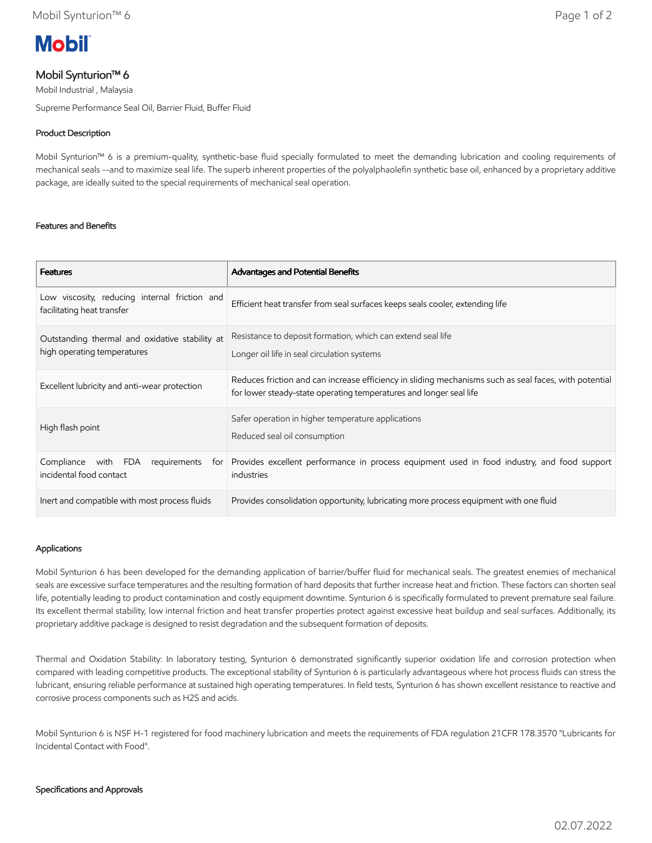

# Mobil Synturion™ 6

Mobil Industrial , Malaysia

Supreme Performance Seal Oil, Barrier Fluid, Buffer Fluid

# Product Description

Mobil Synturion™ 6 is a premium-quality, synthetic-base fluid specially formulated to meet the demanding lubrication and cooling requirements of mechanical seals --and to maximize seal life. The superb inherent properties of the polyalphaolefin synthetic base oil, enhanced by a proprietary additive package, are ideally suited to the special requirements of mechanical seal operation.

## Features and Benefits

| <b>Features</b>                                                               | Advantages and Potential Benefits                                                                                                                                           |
|-------------------------------------------------------------------------------|-----------------------------------------------------------------------------------------------------------------------------------------------------------------------------|
| Low viscosity, reducing internal friction and<br>facilitating heat transfer   | Efficient heat transfer from seal surfaces keeps seals cooler, extending life                                                                                               |
| Outstanding thermal and oxidative stability at<br>high operating temperatures | Resistance to deposit formation, which can extend seal life<br>Longer oil life in seal circulation systems                                                                  |
| Excellent lubricity and anti-wear protection                                  | Reduces friction and can increase efficiency in sliding mechanisms such as seal faces, with potential<br>for lower steady-state operating temperatures and longer seal life |
| High flash point                                                              | Safer operation in higher temperature applications<br>Reduced seal oil consumption                                                                                          |
| FDA<br>requirements<br>Compliance<br>with<br>for l<br>incidental food contact | Provides excellent performance in process equipment used in food industry, and food support<br>industries                                                                   |
| Inert and compatible with most process fluids                                 | Provides consolidation opportunity, lubricating more process equipment with one fluid                                                                                       |

## Applications

Mobil Synturion 6 has been developed for the demanding application of barrier/buffer fluid for mechanical seals. The greatest enemies of mechanical seals are excessive surface temperatures and the resulting formation of hard deposits that further increase heat and friction. These factors can shorten seal life, potentially leading to product contamination and costly equipment downtime. Synturion 6 is specifically formulated to prevent premature seal failure. Its excellent thermal stability, low internal friction and heat transfer properties protect against excessive heat buildup and seal surfaces. Additionally, its proprietary additive package is designed to resist degradation and the subsequent formation of deposits.

Thermal and Oxidation Stability: In laboratory testing, Synturion 6 demonstrated significantly superior oxidation life and corrosion protection when compared with leading competitive products. The exceptional stability of Synturion 6 is particularly advantageous where hot process fluids can stress the lubricant, ensuring reliable performance at sustained high operating temperatures. In field tests, Synturion 6 has shown excellent resistance to reactive and corrosive process components such as H2S and acids.

Mobil Synturion 6 is NSF H-1 registered for food machinery lubrication and meets the requirements of FDA regulation 21CFR 178.3570 "Lubricants for Incidental Contact with Food".